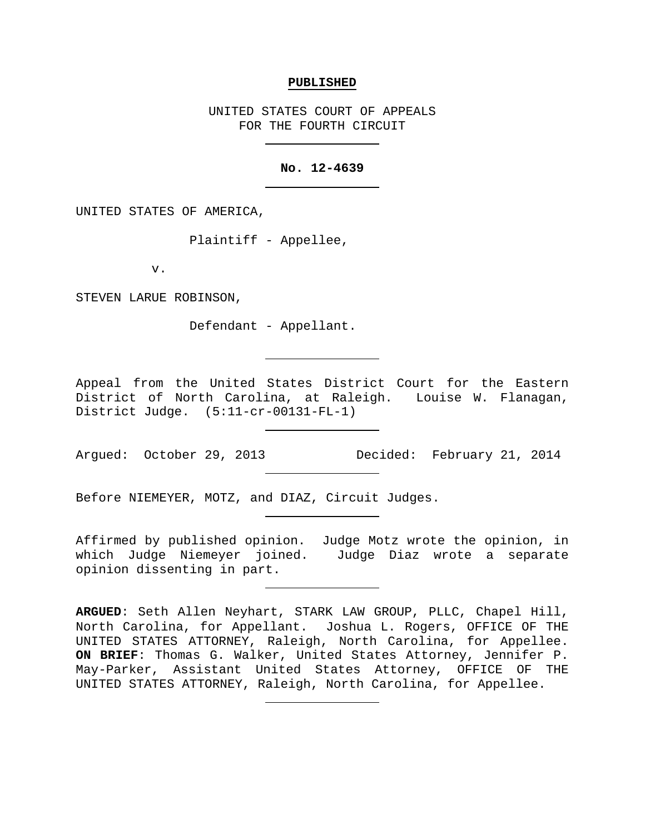### **PUBLISHED**

UNITED STATES COURT OF APPEALS FOR THE FOURTH CIRCUIT

## **No. 12-4639**

UNITED STATES OF AMERICA,

Plaintiff - Appellee,

v.

STEVEN LARUE ROBINSON,

Defendant - Appellant.

Appeal from the United States District Court for the Eastern District of North Carolina, at Raleigh. Louise W. Flanagan, District Judge. (5:11-cr-00131-FL-1)

Argued: October 29, 2013 Decided: February 21, 2014

Before NIEMEYER, MOTZ, and DIAZ, Circuit Judges.

Affirmed by published opinion. Judge Motz wrote the opinion, in which Judge Niemeyer joined. Judge Diaz wrote a separate opinion dissenting in part.

**ARGUED**: Seth Allen Neyhart, STARK LAW GROUP, PLLC, Chapel Hill, North Carolina, for Appellant. Joshua L. Rogers, OFFICE OF THE UNITED STATES ATTORNEY, Raleigh, North Carolina, for Appellee. **ON BRIEF**: Thomas G. Walker, United States Attorney, Jennifer P. May-Parker, Assistant United States Attorney, OFFICE OF THE UNITED STATES ATTORNEY, Raleigh, North Carolina, for Appellee.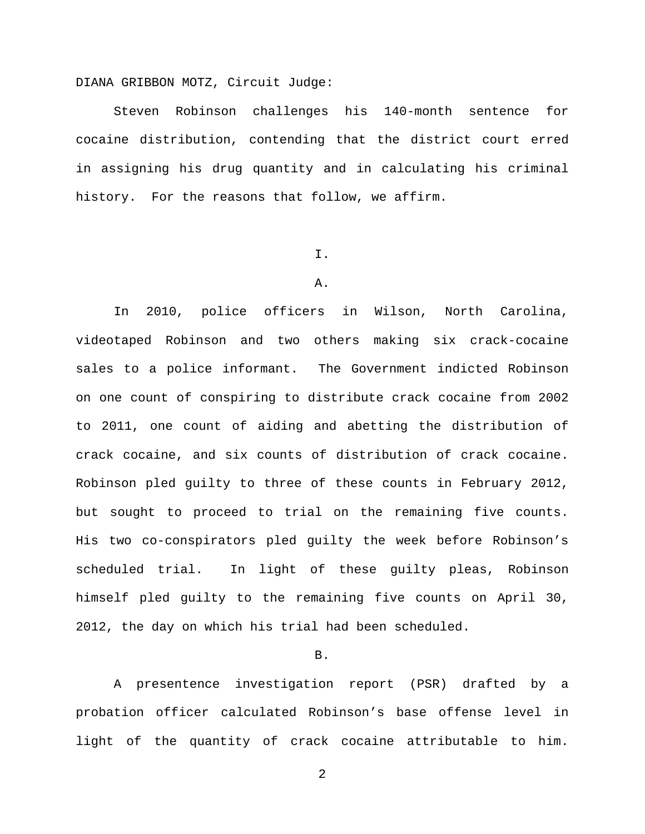DIANA GRIBBON MOTZ, Circuit Judge:

Steven Robinson challenges his 140-month sentence for cocaine distribution, contending that the district court erred in assigning his drug quantity and in calculating his criminal history. For the reasons that follow, we affirm.

I.

# A.

In 2010, police officers in Wilson, North Carolina, videotaped Robinson and two others making six crack-cocaine sales to a police informant. The Government indicted Robinson on one count of conspiring to distribute crack cocaine from 2002 to 2011, one count of aiding and abetting the distribution of crack cocaine, and six counts of distribution of crack cocaine. Robinson pled guilty to three of these counts in February 2012, but sought to proceed to trial on the remaining five counts. His two co-conspirators pled guilty the week before Robinson's scheduled trial. In light of these guilty pleas, Robinson himself pled guilty to the remaining five counts on April 30, 2012, the day on which his trial had been scheduled.

### B.

A presentence investigation report (PSR) drafted by a probation officer calculated Robinson's base offense level in light of the quantity of crack cocaine attributable to him.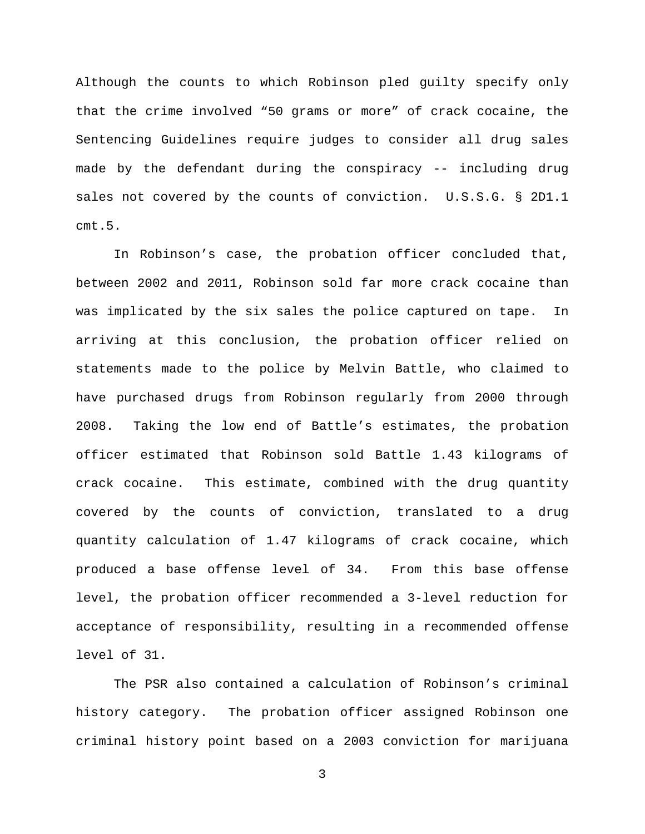Although the counts to which Robinson pled guilty specify only that the crime involved "50 grams or more" of crack cocaine, the Sentencing Guidelines require judges to consider all drug sales made by the defendant during the conspiracy -- including drug sales not covered by the counts of conviction. U.S.S.G. § 2D1.1 cmt.5.

In Robinson's case, the probation officer concluded that, between 2002 and 2011, Robinson sold far more crack cocaine than was implicated by the six sales the police captured on tape. In arriving at this conclusion, the probation officer relied on statements made to the police by Melvin Battle, who claimed to have purchased drugs from Robinson regularly from 2000 through 2008. Taking the low end of Battle's estimates, the probation officer estimated that Robinson sold Battle 1.43 kilograms of crack cocaine. This estimate, combined with the drug quantity covered by the counts of conviction, translated to a drug quantity calculation of 1.47 kilograms of crack cocaine, which produced a base offense level of 34. From this base offense level, the probation officer recommended a 3-level reduction for acceptance of responsibility, resulting in a recommended offense level of 31.

The PSR also contained a calculation of Robinson's criminal history category. The probation officer assigned Robinson one criminal history point based on a 2003 conviction for marijuana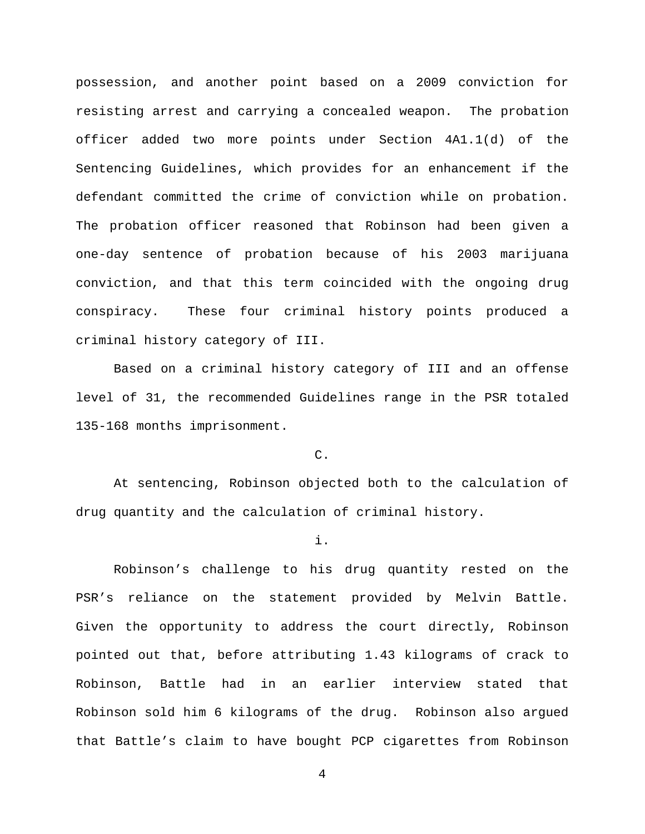possession, and another point based on a 2009 conviction for resisting arrest and carrying a concealed weapon. The probation officer added two more points under Section 4A1.1(d) of the Sentencing Guidelines, which provides for an enhancement if the defendant committed the crime of conviction while on probation. The probation officer reasoned that Robinson had been given a one-day sentence of probation because of his 2003 marijuana conviction, and that this term coincided with the ongoing drug conspiracy. These four criminal history points produced a criminal history category of III.

Based on a criminal history category of III and an offense level of 31, the recommended Guidelines range in the PSR totaled 135-168 months imprisonment.

C.

At sentencing, Robinson objected both to the calculation of drug quantity and the calculation of criminal history.

## i.

Robinson's challenge to his drug quantity rested on the PSR's reliance on the statement provided by Melvin Battle. Given the opportunity to address the court directly, Robinson pointed out that, before attributing 1.43 kilograms of crack to Robinson, Battle had in an earlier interview stated that Robinson sold him 6 kilograms of the drug. Robinson also argued that Battle's claim to have bought PCP cigarettes from Robinson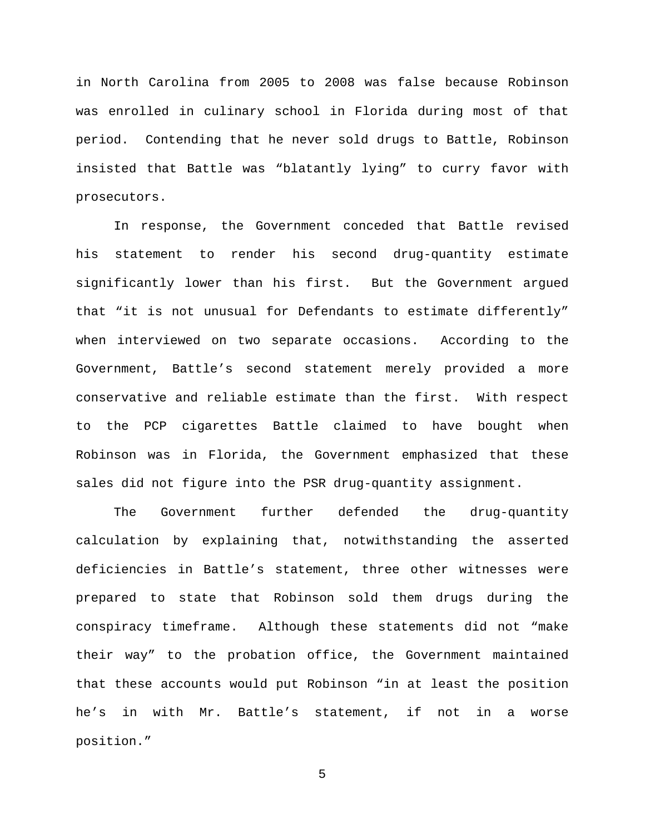in North Carolina from 2005 to 2008 was false because Robinson was enrolled in culinary school in Florida during most of that period. Contending that he never sold drugs to Battle, Robinson insisted that Battle was "blatantly lying" to curry favor with prosecutors.

In response, the Government conceded that Battle revised his statement to render his second drug-quantity estimate significantly lower than his first. But the Government argued that "it is not unusual for Defendants to estimate differently" when interviewed on two separate occasions. According to the Government, Battle's second statement merely provided a more conservative and reliable estimate than the first. With respect to the PCP cigarettes Battle claimed to have bought when Robinson was in Florida, the Government emphasized that these sales did not figure into the PSR drug-quantity assignment.

The Government further defended the drug-quantity calculation by explaining that, notwithstanding the asserted deficiencies in Battle's statement, three other witnesses were prepared to state that Robinson sold them drugs during the conspiracy timeframe. Although these statements did not "make their way" to the probation office, the Government maintained that these accounts would put Robinson "in at least the position he's in with Mr. Battle's statement, if not in a worse position."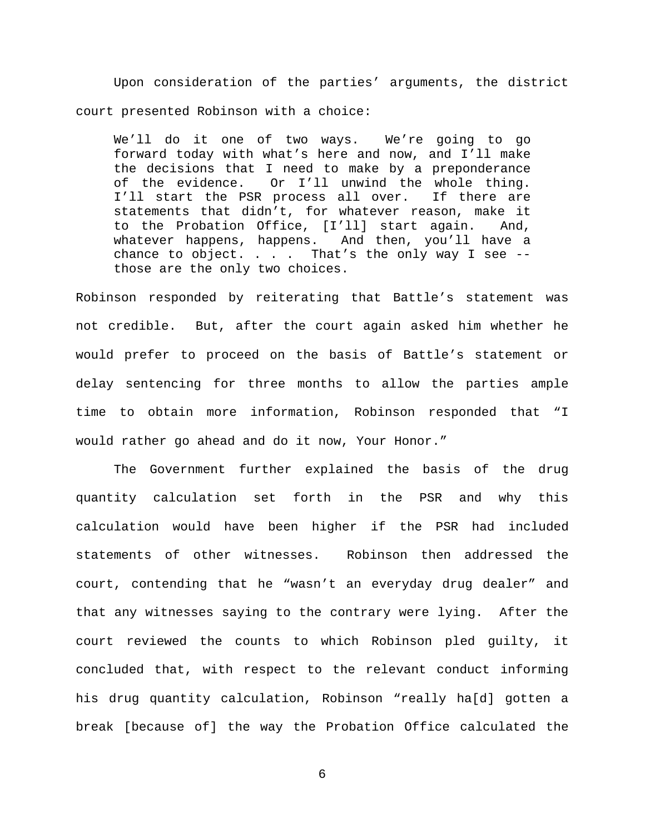Upon consideration of the parties' arguments, the district court presented Robinson with a choice:

We'll do it one of two ways. We're going to go forward today with what's here and now, and I'll make the decisions that I need to make by a preponderance<br>of the evidence. Or I'll unwind the whole thing. Or I'll unwind the whole thing.<br>R process all over. If there are I'll start the PSR process all over. statements that didn't, for whatever reason, make it to the Probation Office, [I'll] start again. And, whatever happens, happens. And then, you'll have a chance to object. . . . That's the only way I see  $-$ those are the only two choices.

Robinson responded by reiterating that Battle's statement was not credible. But, after the court again asked him whether he would prefer to proceed on the basis of Battle's statement or delay sentencing for three months to allow the parties ample time to obtain more information, Robinson responded that "I would rather go ahead and do it now, Your Honor."

The Government further explained the basis of the drug quantity calculation set forth in the PSR and why this calculation would have been higher if the PSR had included statements of other witnesses. Robinson then addressed the court, contending that he "wasn't an everyday drug dealer" and that any witnesses saying to the contrary were lying. After the court reviewed the counts to which Robinson pled guilty, it concluded that, with respect to the relevant conduct informing his drug quantity calculation, Robinson "really ha[d] gotten a break [because of] the way the Probation Office calculated the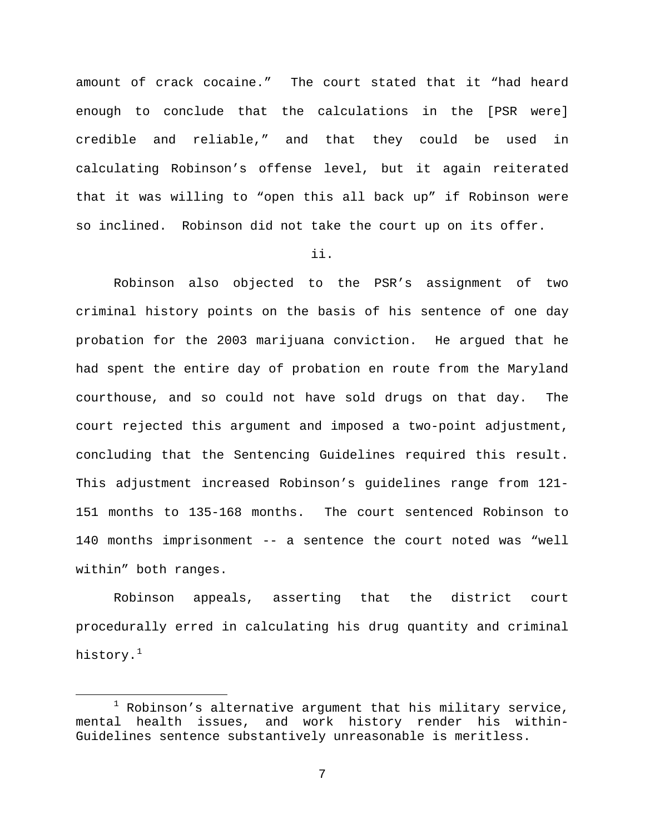amount of crack cocaine." The court stated that it "had heard enough to conclude that the calculations in the [PSR were] credible and reliable," and that they could be used in calculating Robinson's offense level, but it again reiterated that it was willing to "open this all back up" if Robinson were so inclined. Robinson did not take the court up on its offer.

ii.

Robinson also objected to the PSR's assignment of two criminal history points on the basis of his sentence of one day probation for the 2003 marijuana conviction. He argued that he had spent the entire day of probation en route from the Maryland courthouse, and so could not have sold drugs on that day. The court rejected this argument and imposed a two-point adjustment, concluding that the Sentencing Guidelines required this result. This adjustment increased Robinson's guidelines range from 121- 151 months to 135-168 months. The court sentenced Robinson to 140 months imprisonment -- a sentence the court noted was "well within" both ranges.

Robinson appeals, asserting that the district court procedurally erred in calculating his drug quantity and criminal history.<sup>[1](#page-6-0)</sup>

<span id="page-6-0"></span><sup>&</sup>lt;sup>1</sup> Robinson's alternative argument that his military service,<br>mental health issues, and work history render his withinand work history render his within-Guidelines sentence substantively unreasonable is meritless.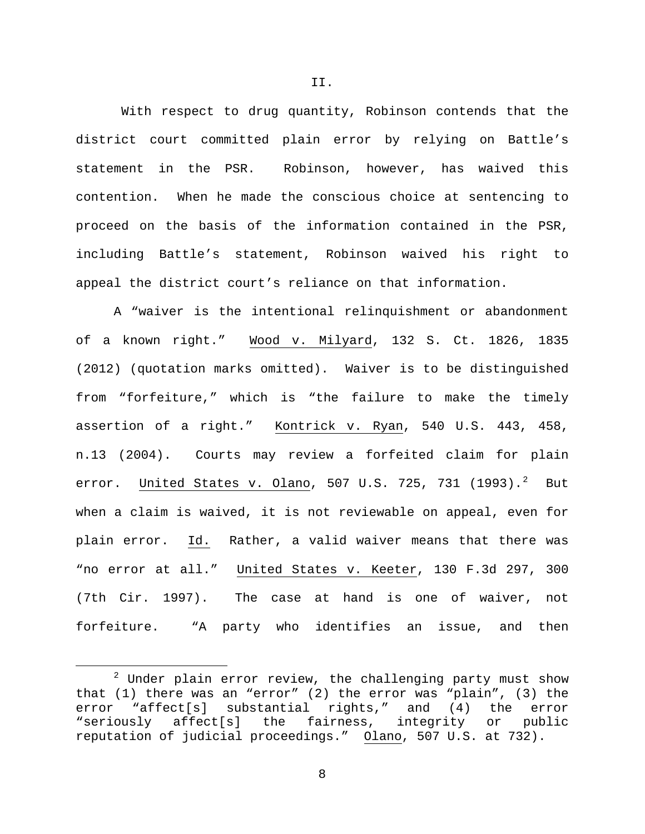With respect to drug quantity, Robinson contends that the district court committed plain error by relying on Battle's statement in the PSR.Robinson, however, has waived this contention. When he made the conscious choice at sentencing to proceed on the basis of the information contained in the PSR, including Battle's statement, Robinson waived his right to appeal the district court's reliance on that information.

A "waiver is the intentional relinquishment or abandonment of a known right." Wood v. Milyard, 132 S. Ct. 1826, 1835 (2012) (quotation marks omitted). Waiver is to be distinguished from "forfeiture," which is "the failure to make the timely assertion of a right." Kontrick v. Ryan, 540 U.S. 443, 458, n.13 (2004). Courts may review a forfeited claim for plain error. <u>United States v. Olano</u>, 507 U.S. 7[2](#page-7-0)5, 731 (1993).<sup>2</sup> But when a claim is waived, it is not reviewable on appeal, even for plain error. Id. Rather, a valid waiver means that there was "no error at all." United States v. Keeter, 130 F.3d 297, 300 (7th Cir. 1997). The case at hand is one of waiver, not forfeiture. "A party who identifies an issue, and then

8

II.

<span id="page-7-0"></span> $2$  Under plain error review, the challenging party must show that (1) there was an "error" (2) the error was "plain", (3) the error "affect[s] substantial rights," and (4) the error<br>"seriously affect[s] the fairness, integrity or public "seriously affect[s] the fairness, integrity or public reputation of judicial proceedings." Olano, 507 U.S. at 732).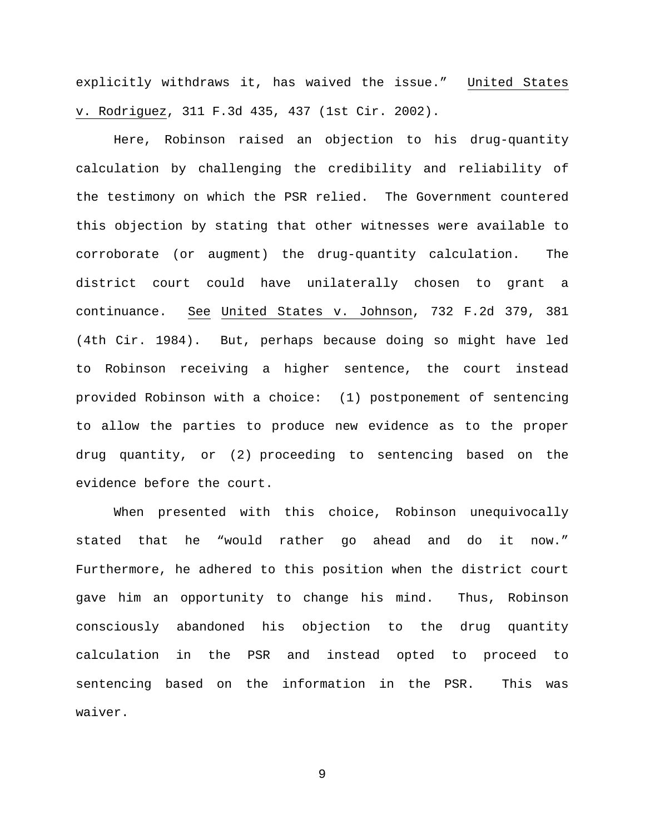explicitly withdraws it, has waived the issue." United States v. Rodriguez, 311 F.3d 435, 437 (1st Cir. 2002).

Here, Robinson raised an objection to his drug-quantity calculation by challenging the credibility and reliability of the testimony on which the PSR relied. The Government countered this objection by stating that other witnesses were available to corroborate (or augment) the drug-quantity calculation. The district court could have unilaterally chosen to grant a continuance. See United States v. Johnson, 732 F.2d 379, 381 (4th Cir. 1984). But, perhaps because doing so might have led to Robinson receiving a higher sentence, the court instead provided Robinson with a choice: (1) postponement of sentencing to allow the parties to produce new evidence as to the proper drug quantity, or (2) proceeding to sentencing based on the evidence before the court.

When presented with this choice, Robinson unequivocally stated that he "would rather go ahead and do it now." Furthermore, he adhered to this position when the district court gave him an opportunity to change his mind. Thus, Robinson consciously abandoned his objection to the drug quantity calculation in the PSR and instead opted to proceed to sentencing based on the information in the PSR. This was waiver.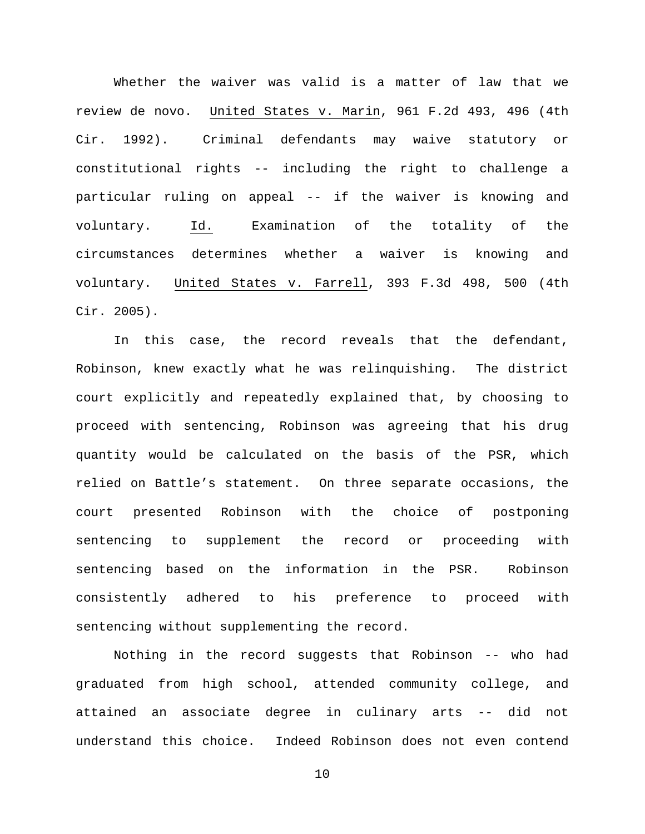Whether the waiver was valid is a matter of law that we review de novo. United States v. Marin, 961 F.2d 493, 496 (4th Cir. 1992). Criminal defendants may waive statutory or constitutional rights -- including the right to challenge a particular ruling on appeal -- if the waiver is knowing and voluntary. Id. Examination of the totality of the circumstances determines whether a waiver is knowing and voluntary. United States v. Farrell, 393 F.3d 498, 500 (4th Cir. 2005).

In this case, the record reveals that the defendant, Robinson, knew exactly what he was relinquishing. The district court explicitly and repeatedly explained that, by choosing to proceed with sentencing, Robinson was agreeing that his drug quantity would be calculated on the basis of the PSR, which relied on Battle's statement. On three separate occasions, the court presented Robinson with the choice of postponing sentencing to supplement the record or proceeding with sentencing based on the information in the PSR. Robinson consistently adhered to his preference to proceed with sentencing without supplementing the record.

Nothing in the record suggests that Robinson -- who had graduated from high school, attended community college, and attained an associate degree in culinary arts -- did not understand this choice. Indeed Robinson does not even contend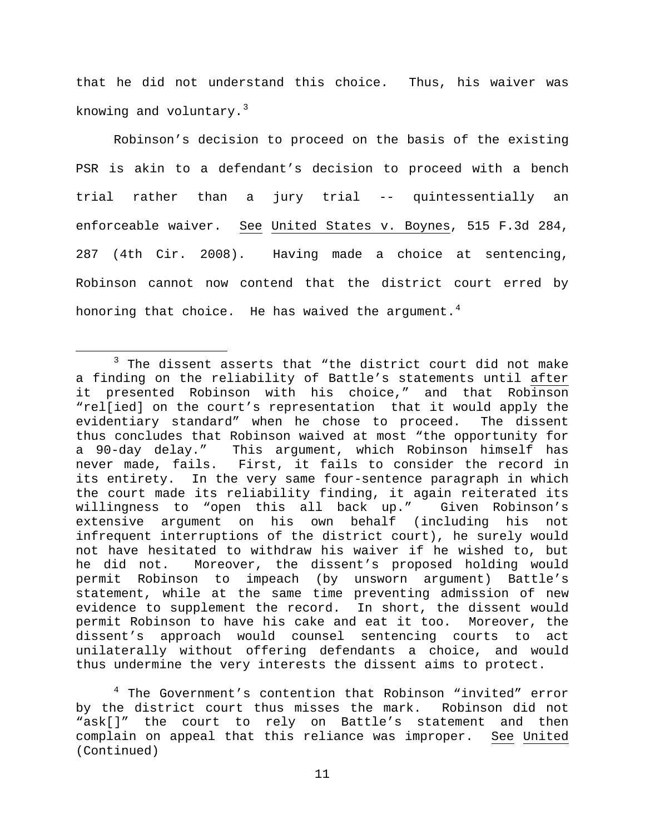that he did not understand this choice. Thus, his waiver was knowing and voluntary. $3$ 

Robinson's decision to proceed on the basis of the existing PSR is akin to a defendant's decision to proceed with a bench trial rather than a jury trial -- quintessentially an enforceable waiver. See United States v. Boynes, 515 F.3d 284, 287 (4th Cir. 2008). Having made a choice at sentencing, Robinson cannot now contend that the district court erred by honoring that choice. He has waived the argument.<sup>[4](#page-10-1)</sup>

<span id="page-10-0"></span> $3$  The dissent asserts that "the district court did not make a finding on the reliability of Battle's statements until after it presented Robinson with his choice," and that Robinson "rel[ied] on the court's representation that it would apply the evidentiary standard" when he chose to proceed. thus concludes that Robinson waived at most "the opportunity for a 90-day delay." This argument, which Robinson himself has never made, fails. First, it fails to consider the record in its entirety. In the very same four-sentence paragraph in which the court made its reliability finding, it again reiterated its willingness to "open this all back up." Given Robinson's extensive argument on his own behalf (including his not infrequent interruptions of the district court), he surely would not have hesitated to withdraw his waiver if he wished to, but he did not. Moreover, the dissent's proposed holding would permit Robinson to impeach (by unsworn argument) Battle's statement, while at the same time preventing admission of new evidence to supplement the record. In short, the dissent would permit Robinson to have his cake and eat it too. Moreover, the dissent's approach would counsel sentencing courts to act unilaterally without offering defendants a choice, and would thus undermine the very interests the dissent aims to protect.

<span id="page-10-1"></span><sup>4</sup> The Government's contention that Robinson "invited" error by the district court thus misses the mark. Robinson did not "ask[]" the court to rely on Battle's statement and then complain on appeal that this reliance was improper. See United (Continued)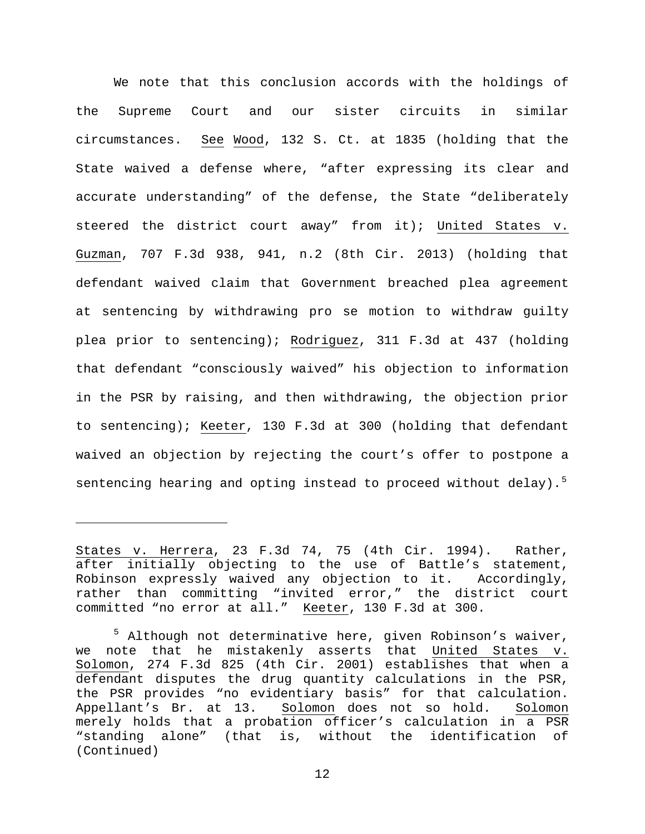We note that this conclusion accords with the holdings of the Supreme Court and our sister circuits in similar circumstances. See Wood, 132 S. Ct. at 1835 (holding that the State waived a defense where, "after expressing its clear and accurate understanding" of the defense, the State "deliberately steered the district court away" from it); United States v. Guzman, 707 F.3d 938, 941, n.2 (8th Cir. 2013) (holding that defendant waived claim that Government breached plea agreement at sentencing by withdrawing pro se motion to withdraw guilty plea prior to sentencing); Rodriguez, 311 F.3d at 437 (holding that defendant "consciously waived" his objection to information in the PSR by raising, and then withdrawing, the objection prior to sentencing); Keeter, 130 F.3d at 300 (holding that defendant waived an objection by rejecting the court's offer to postpone a sentencing hearing and opting instead to proceed without delay).<sup>[5](#page-11-0)</sup>

ī

States v. Herrera, 23 F.3d 74, 75 (4th Cir. 1994). Rather, after initially objecting to the use of Battle's statement, Robinson expressly waived any objection to it. Accordingly, rather than committing "invited error," the district court committed "no error at all." Keeter, 130 F.3d at 300.

<span id="page-11-0"></span><sup>5</sup> Although not determinative here, given Robinson's waiver, we note that he mistakenly asserts that United States v. Solomon, 274 F.3d 825 (4th Cir. 2001) establishes that when a defendant disputes the drug quantity calculations in the PSR, the PSR provides "no evidentiary basis" for that calculation.<br>Appellant's Br. at 13. Solomon does not so hold. Solomon Solomon does not so hold. merely holds that a probation officer's calculation in a PSR "standing alone" (that is, without the identification of (Continued)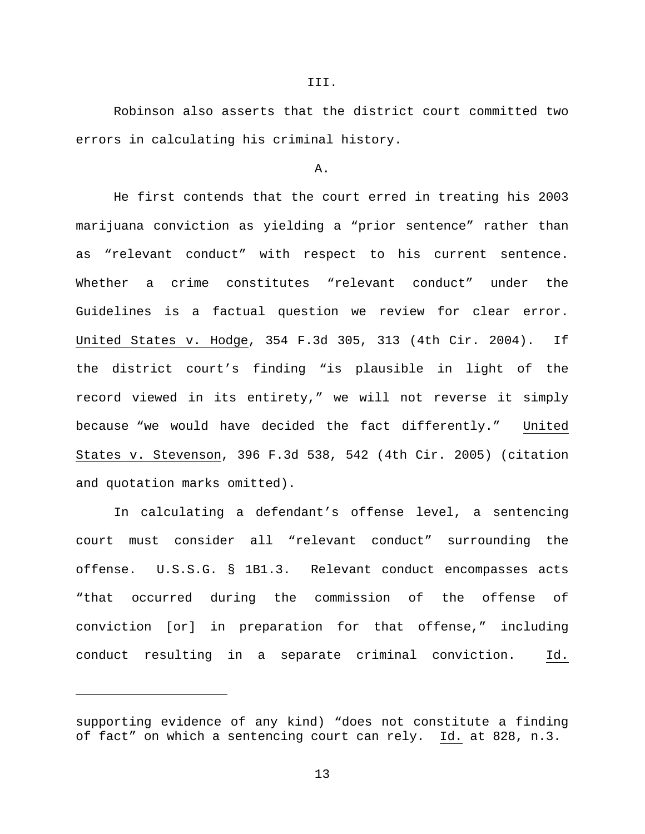Robinson also asserts that the district court committed two errors in calculating his criminal history.

#### A.

He first contends that the court erred in treating his 2003 marijuana conviction as yielding a "prior sentence" rather than as "relevant conduct" with respect to his current sentence. Whether a crime constitutes "relevant conduct" under the Guidelines is a factual question we review for clear error. United States v. Hodge, 354 F.3d 305, 313 (4th Cir. 2004). If the district court's finding "is plausible in light of the record viewed in its entirety," we will not reverse it simply because "we would have decided the fact differently." United States v. Stevenson, 396 F.3d 538, 542 (4th Cir. 2005) (citation and quotation marks omitted).

In calculating a defendant's offense level, a sentencing court must consider all "relevant conduct" surrounding the offense. U.S.S.G. § 1B1.3. Relevant conduct encompasses acts "that occurred during the commission of the offense of conviction [or] in preparation for that offense," including conduct resulting in a separate criminal conviction. Id.

Ĩ.

supporting evidence of any kind) "does not constitute a finding of fact" on which a sentencing court can rely. Id. at 828, n.3.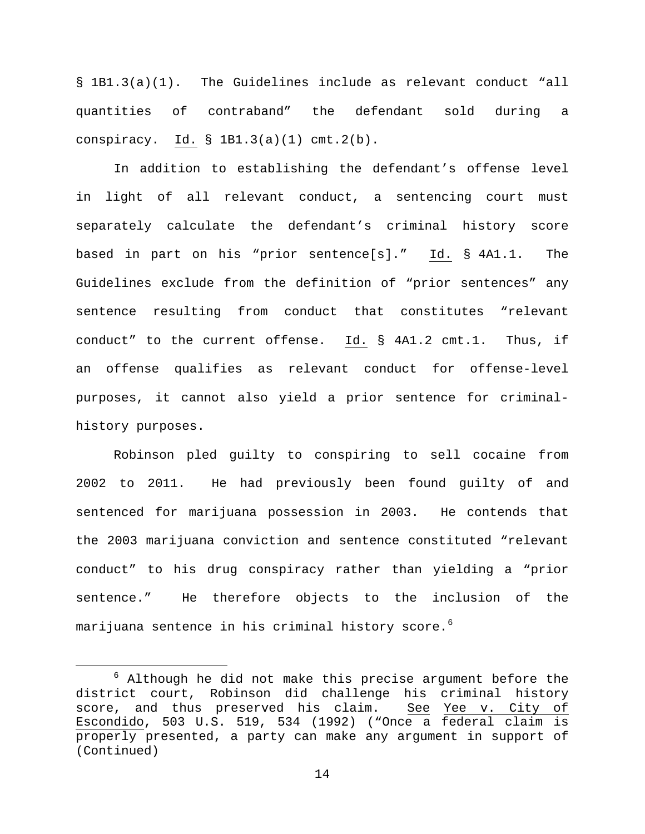§ 1B1.3(a)(1). The Guidelines include as relevant conduct "all quantities of contraband" the defendant sold during a conspiracy. Id.  $\S$  1B1.3(a)(1) cmt.2(b).

In addition to establishing the defendant's offense level in light of all relevant conduct, a sentencing court must separately calculate the defendant's criminal history score based in part on his "prior sentence[s]." Id. § 4A1.1. The Guidelines exclude from the definition of "prior sentences" any sentence resulting from conduct that constitutes "relevant conduct" to the current offense. Id. § 4A1.2 cmt.1. Thus, if an offense qualifies as relevant conduct for offense-level purposes, it cannot also yield a prior sentence for criminalhistory purposes.

Robinson pled guilty to conspiring to sell cocaine from 2002 to 2011. He had previously been found guilty of and sentenced for marijuana possession in 2003. He contends that the 2003 marijuana conviction and sentence constituted "relevant conduct" to his drug conspiracy rather than yielding a "prior sentence." He therefore objects to the inclusion of the marijuana sentence in his criminal history score.<sup>[6](#page-13-0)</sup>

<span id="page-13-0"></span> $6$  Although he did not make this precise argument before the district court, Robinson did challenge his criminal history score, and thus preserved his claim. See Yee v. City of Escondido, 503 U.S. 519, 534 (1992) ("Once a federal claim is properly presented, a party can make any argument in support of (Continued)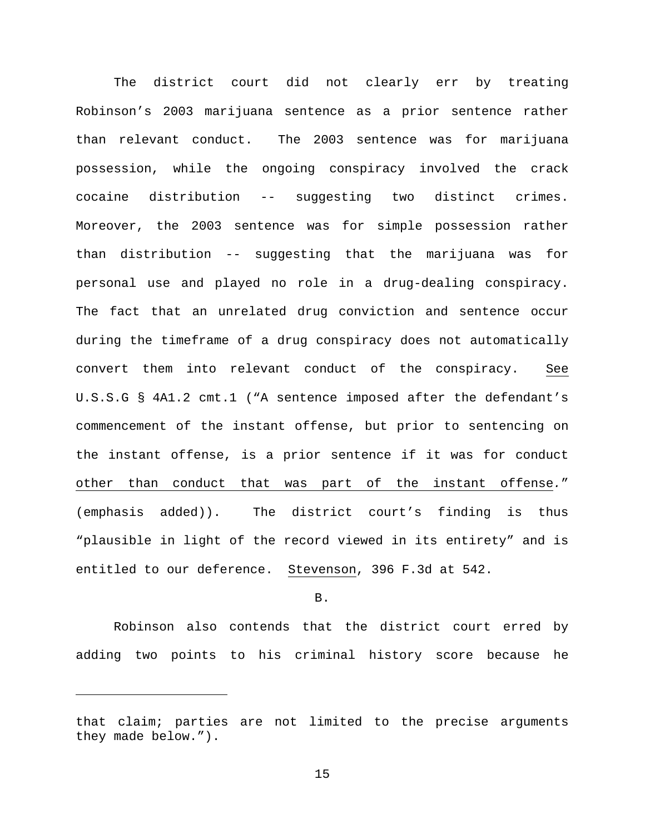The district court did not clearly err by treating Robinson's 2003 marijuana sentence as a prior sentence rather than relevant conduct. The 2003 sentence was for marijuana possession, while the ongoing conspiracy involved the crack cocaine distribution -- suggesting two distinct crimes. Moreover, the 2003 sentence was for simple possession rather than distribution -- suggesting that the marijuana was for personal use and played no role in a drug-dealing conspiracy. The fact that an unrelated drug conviction and sentence occur during the timeframe of a drug conspiracy does not automatically convert them into relevant conduct of the conspiracy. See U.S.S.G § 4A1.2 cmt.1 ("A sentence imposed after the defendant's commencement of the instant offense, but prior to sentencing on the instant offense, is a prior sentence if it was for conduct other than conduct that was part of the instant offense*.*" (emphasis added)). The district court's finding is thus "plausible in light of the record viewed in its entirety" and is entitled to our deference. Stevenson, 396 F.3d at 542.

## B.

Robinson also contends that the district court erred by adding two points to his criminal history score because he

Ĩ.

that claim; parties are not limited to the precise arguments they made below.").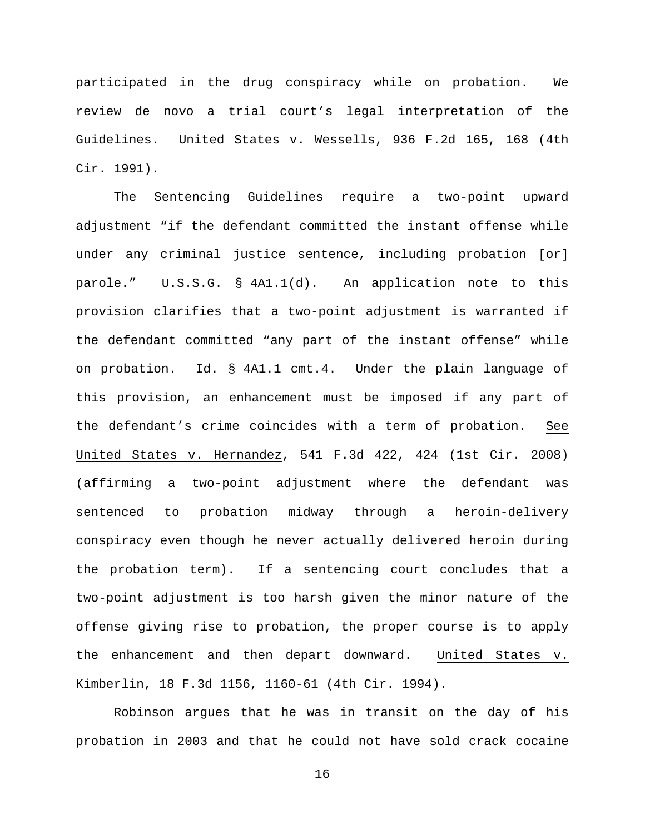participated in the drug conspiracy while on probation. We review de novo a trial court's legal interpretation of the Guidelines. United States v. Wessells, 936 F.2d 165, 168 (4th Cir. 1991).

The Sentencing Guidelines require a two-point upward adjustment "if the defendant committed the instant offense while under any criminal justice sentence, including probation [or] parole." U.S.S.G. § 4A1.1(d). An application note to this provision clarifies that a two-point adjustment is warranted if the defendant committed "any part of the instant offense" while on probation. Id. § 4A1.1 cmt.4. Under the plain language of this provision, an enhancement must be imposed if any part of the defendant's crime coincides with a term of probation. See United States v. Hernandez, 541 F.3d 422, 424 (1st Cir. 2008) (affirming a two-point adjustment where the defendant was sentenced to probation midway through a heroin-delivery conspiracy even though he never actually delivered heroin during the probation term). If a sentencing court concludes that a two-point adjustment is too harsh given the minor nature of the offense giving rise to probation, the proper course is to apply the enhancement and then depart downward. United States v. Kimberlin, 18 F.3d 1156, 1160-61 (4th Cir. 1994).

Robinson argues that he was in transit on the day of his probation in 2003 and that he could not have sold crack cocaine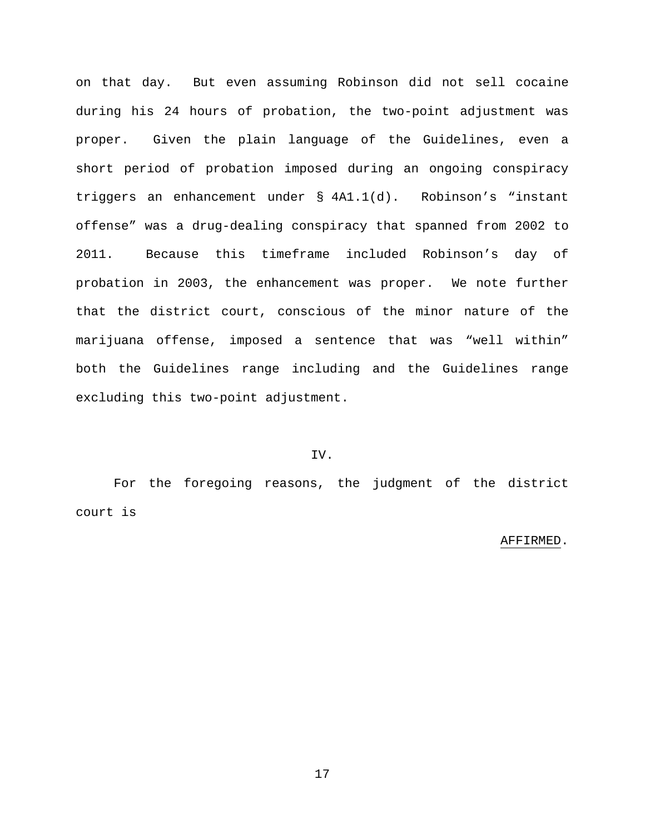on that day. But even assuming Robinson did not sell cocaine during his 24 hours of probation, the two-point adjustment was proper. Given the plain language of the Guidelines, even a short period of probation imposed during an ongoing conspiracy triggers an enhancement under § 4A1.1(d). Robinson's "instant offense" was a drug-dealing conspiracy that spanned from 2002 to 2011. Because this timeframe included Robinson's day of probation in 2003, the enhancement was proper. We note further that the district court, conscious of the minor nature of the marijuana offense, imposed a sentence that was "well within" both the Guidelines range including and the Guidelines range excluding this two-point adjustment.

# IV.

For the foregoing reasons, the judgment of the district court is

### AFFIRMED.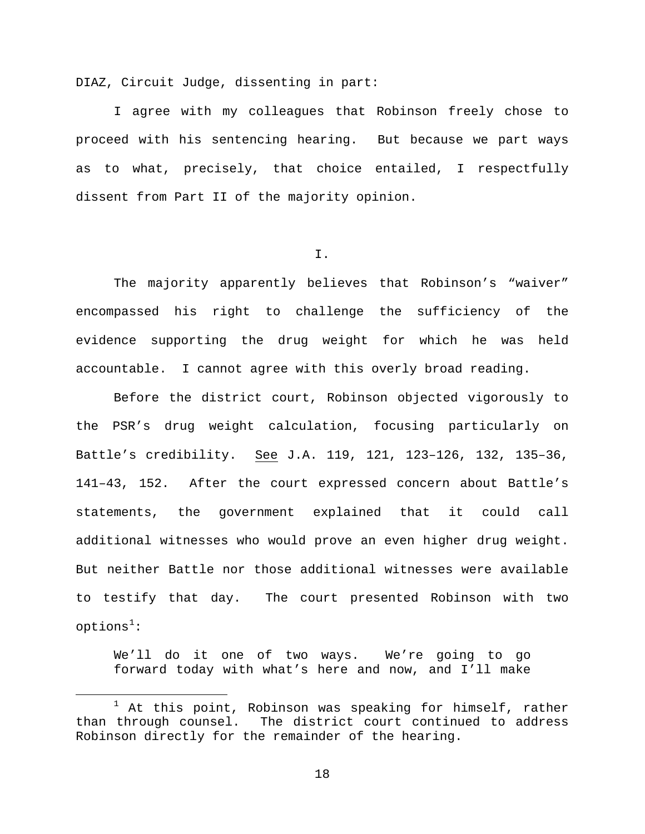DIAZ, Circuit Judge, dissenting in part:

I agree with my colleagues that Robinson freely chose to proceed with his sentencing hearing. But because we part ways as to what, precisely, that choice entailed, I respectfully dissent from Part II of the majority opinion.

I.

The majority apparently believes that Robinson's "waiver" encompassed his right to challenge the sufficiency of the evidence supporting the drug weight for which he was held accountable. I cannot agree with this overly broad reading.

Before the district court, Robinson objected vigorously to the PSR's drug weight calculation, focusing particularly on Battle's credibility. See J.A. 119, 121, 123–126, 132, 135–36, 141–43, 152. After the court expressed concern about Battle's statements, the government explained that it could call additional witnesses who would prove an even higher drug weight. But neither Battle nor those additional witnesses were available to testify that day. The court presented Robinson with two  $options<sup>1</sup>$  $options<sup>1</sup>$  $options<sup>1</sup>$ :

We'll do it one of two ways. We're going to go forward today with what's here and now, and I'll make

<span id="page-17-0"></span><sup>&</sup>lt;sup>1</sup> At this point, Robinson was speaking for himself, rather<br>than through counsel. The district court continued to address The district court continued to address Robinson directly for the remainder of the hearing.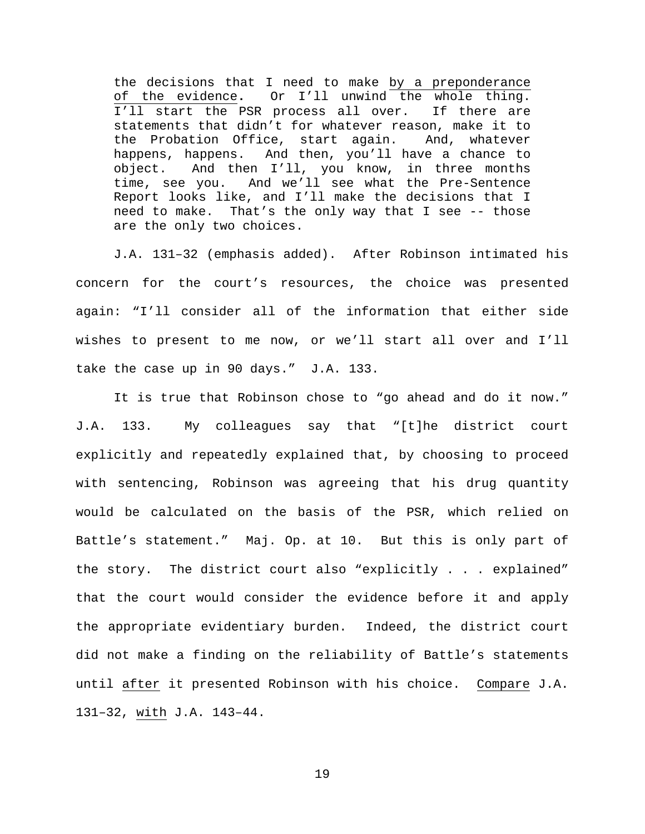the decisions that I need to make by a preponderance of the evidence**.** Or I'll unwind the whole thing. I'll start the PSR process all over. If there are statements that didn't for whatever reason, make it to<br>the Probation Office, start again. And, whatever the Probation Office, start again. happens, happens. And then, you'll have a chance to object. And then I'll, you know, in three months time, see you. And we'll see what the Pre-Sentence Report looks like, and I'll make the decisions that I need to make. That's the only way that I see -- those are the only two choices.

J.A. 131–32 (emphasis added). After Robinson intimated his concern for the court's resources, the choice was presented again: "I'll consider all of the information that either side wishes to present to me now, or we'll start all over and I'll take the case up in 90 days." J.A. 133.

It is true that Robinson chose to "go ahead and do it now." J.A. 133. My colleagues say that "[t]he district court explicitly and repeatedly explained that, by choosing to proceed with sentencing, Robinson was agreeing that his drug quantity would be calculated on the basis of the PSR, which relied on Battle's statement." Maj. Op. at 10. But this is only part of the story. The district court also "explicitly . . . explained" that the court would consider the evidence before it and apply the appropriate evidentiary burden. Indeed, the district court did not make a finding on the reliability of Battle's statements until after it presented Robinson with his choice. Compare J.A. 131–32, with J.A. 143–44.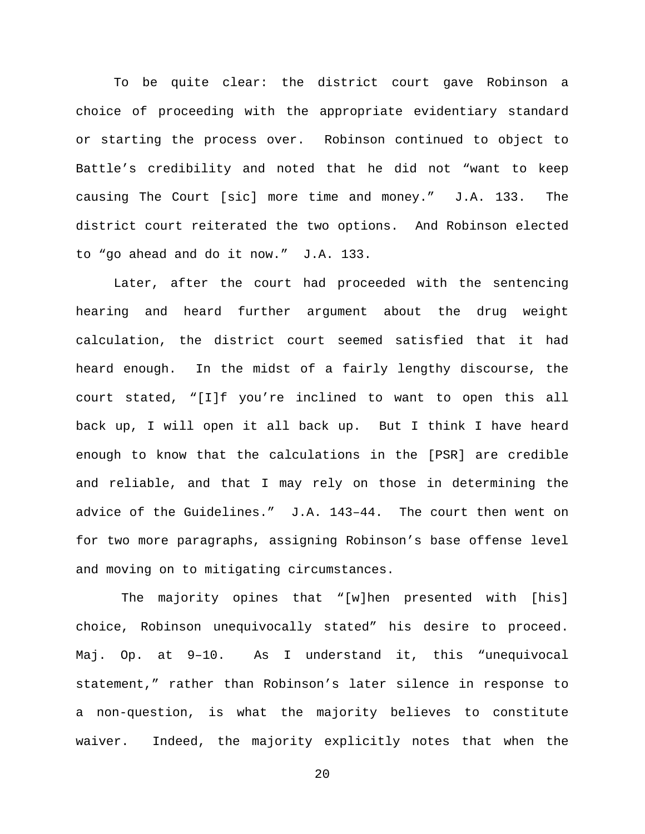To be quite clear: the district court gave Robinson a choice of proceeding with the appropriate evidentiary standard or starting the process over. Robinson continued to object to Battle's credibility and noted that he did not "want to keep causing The Court [sic] more time and money." J.A. 133. The district court reiterated the two options. And Robinson elected to "go ahead and do it now." J.A. 133.

Later, after the court had proceeded with the sentencing hearing and heard further argument about the drug weight calculation, the district court seemed satisfied that it had heard enough. In the midst of a fairly lengthy discourse, the court stated, "[I]f you're inclined to want to open this all back up, I will open it all back up. But I think I have heard enough to know that the calculations in the [PSR] are credible and reliable, and that I may rely on those in determining the advice of the Guidelines." J.A. 143–44. The court then went on for two more paragraphs, assigning Robinson's base offense level and moving on to mitigating circumstances.

The majority opines that "[w]hen presented with [his] choice, Robinson unequivocally stated" his desire to proceed. Maj. Op. at 9–10. As I understand it, this "unequivocal statement," rather than Robinson's later silence in response to a non-question, is what the majority believes to constitute waiver. Indeed, the majority explicitly notes that when the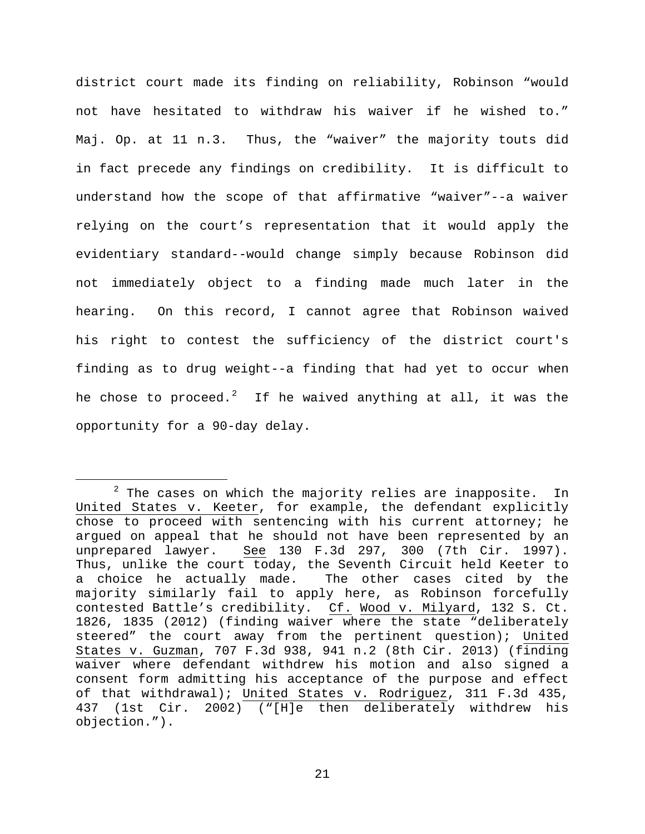district court made its finding on reliability, Robinson "would not have hesitated to withdraw his waiver if he wished to." Maj. Op. at 11 n.3. Thus, the "waiver" the majority touts did in fact precede any findings on credibility. It is difficult to understand how the scope of that affirmative "waiver"--a waiver relying on the court's representation that it would apply the evidentiary standard--would change simply because Robinson did not immediately object to a finding made much later in the hearing. On this record, I cannot agree that Robinson waived his right to contest the sufficiency of the district court's finding as to drug weight--a finding that had yet to occur when he chose to proceed. $^2$  $^2$  If he waived anything at all, it was the opportunity for a 90-day delay.

<span id="page-20-0"></span> $2$  The cases on which the majority relies are inapposite. In United States v. Keeter, for example, the defendant explicitly chose to proceed with sentencing with his current attorney; he argued on appeal that he should not have been represented by an unprepared lawyer. See 130 F.3d 297, 300 (7th Cir. 1997). See 130 F.3d 297, 300 (7th Cir. 1997). Thus, unlike the court today, the Seventh Circuit held Keeter to a choice he actually made. The other cases cited by the majority similarly fail to apply here, as Robinson forcefully contested Battle's credibility. Cf. Wood v. Milyard, 132 S. Ct. 1826, 1835 (2012) (finding waiver where the state "deliberately steered" the court away from the pertinent question); United States v. Guzman, 707 F.3d 938, 941 n.2 (8th Cir. 2013) (finding waiver where defendant withdrew his motion and also signed a consent form admitting his acceptance of the purpose and effect of that withdrawal); United States v. Rodriguez, 311 F.3d 435, 437 (1st Cir. 2002) ("[H]e then deliberately withdrew his objection.").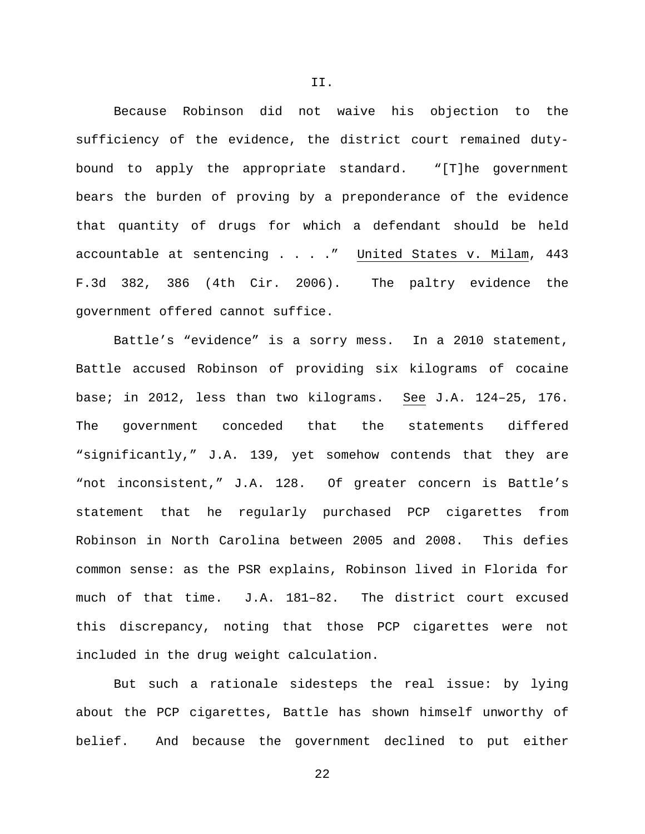Because Robinson did not waive his objection to the sufficiency of the evidence, the district court remained dutybound to apply the appropriate standard. "[T]he government bears the burden of proving by a preponderance of the evidence that quantity of drugs for which a defendant should be held accountable at sentencing . . . ." United States v. Milam, 443 F.3d 382, 386 (4th Cir. 2006). The paltry evidence the government offered cannot suffice.

Battle's "evidence" is a sorry mess. In a 2010 statement, Battle accused Robinson of providing six kilograms of cocaine base; in 2012, less than two kilograms. See J.A. 124–25, 176. The government conceded that the statements differed "significantly," J.A. 139, yet somehow contends that they are "not inconsistent," J.A. 128. Of greater concern is Battle's statement that he regularly purchased PCP cigarettes from Robinson in North Carolina between 2005 and 2008. This defies common sense: as the PSR explains, Robinson lived in Florida for much of that time. J.A. 181–82. The district court excused this discrepancy, noting that those PCP cigarettes were not included in the drug weight calculation.

But such a rationale sidesteps the real issue: by lying about the PCP cigarettes, Battle has shown himself unworthy of belief. And because the government declined to put either

22

II.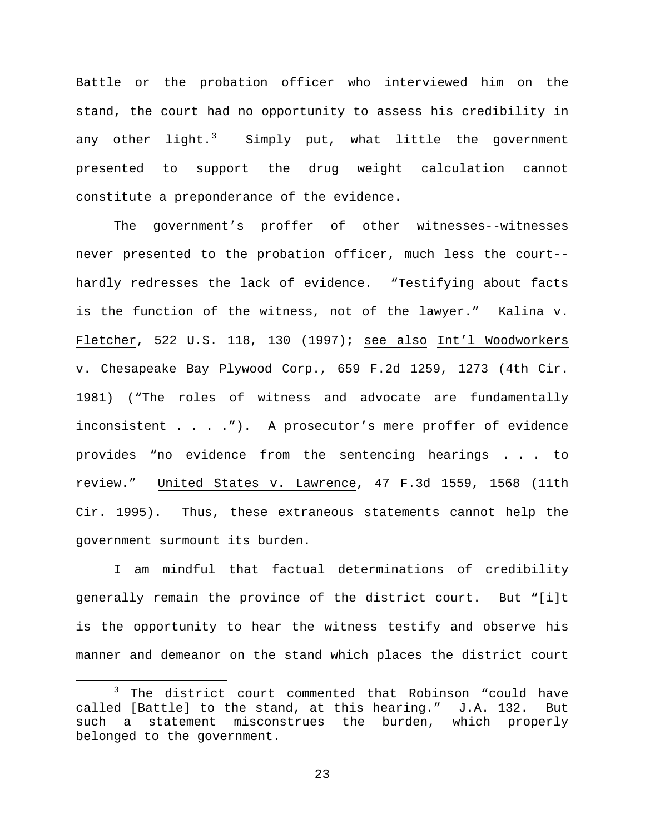Battle or the probation officer who interviewed him on the stand, the court had no opportunity to assess his credibility in any other light.<sup>[3](#page-22-0)</sup> Simply put, what little the government presented to support the drug weight calculation cannot constitute a preponderance of the evidence.

The government's proffer of other witnesses--witnesses never presented to the probation officer, much less the court- hardly redresses the lack of evidence. "Testifying about facts is the function of the witness, not of the lawyer." Kalina v. Fletcher, 522 U.S. 118, 130 (1997); see also Int'l Woodworkers v. Chesapeake Bay Plywood Corp., 659 F.2d 1259, 1273 (4th Cir. 1981) ("The roles of witness and advocate are fundamentally inconsistent . . . ."). A prosecutor's mere proffer of evidence provides "no evidence from the sentencing hearings . . . to review." United States v. Lawrence, 47 F.3d 1559, 1568 (11th Cir. 1995). Thus, these extraneous statements cannot help the government surmount its burden.

I am mindful that factual determinations of credibility generally remain the province of the district court. But "[i]t is the opportunity to hear the witness testify and observe his manner and demeanor on the stand which places the district court

<span id="page-22-0"></span><sup>&</sup>lt;sup>3</sup> The district court commented that Robinson "could have called [Battle] to the stand, at this hearing." J.A. 132. But such a statement misconstrues the burden, which properly belonged to the government.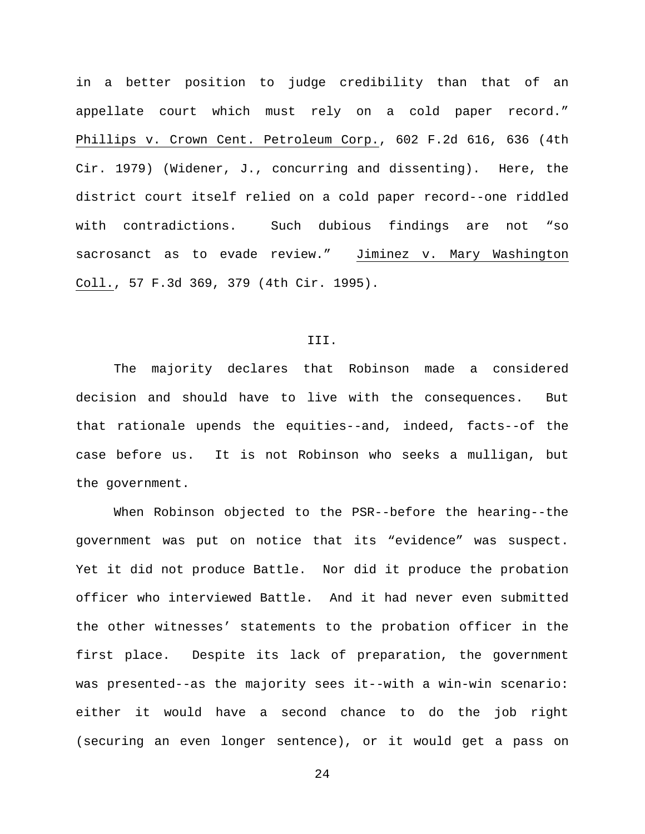in a better position to judge credibility than that of an appellate court which must rely on a cold paper record." Phillips v. Crown Cent. Petroleum Corp., 602 F.2d 616, 636 (4th Cir. 1979) (Widener, J., concurring and dissenting). Here, the district court itself relied on a cold paper record--one riddled with contradictions. Such dubious findings are not "so sacrosanct as to evade review." Jiminez v. Mary Washington Coll., 57 F.3d 369, 379 (4th Cir. 1995).

## III.

The majority declares that Robinson made a considered decision and should have to live with the consequences. But that rationale upends the equities--and, indeed, facts--of the case before us. It is not Robinson who seeks a mulligan, but the government.

When Robinson objected to the PSR--before the hearing--the government was put on notice that its "evidence" was suspect. Yet it did not produce Battle. Nor did it produce the probation officer who interviewed Battle. And it had never even submitted the other witnesses' statements to the probation officer in the first place. Despite its lack of preparation, the government was presented--as the majority sees it--with a win-win scenario: either it would have a second chance to do the job right (securing an even longer sentence), or it would get a pass on